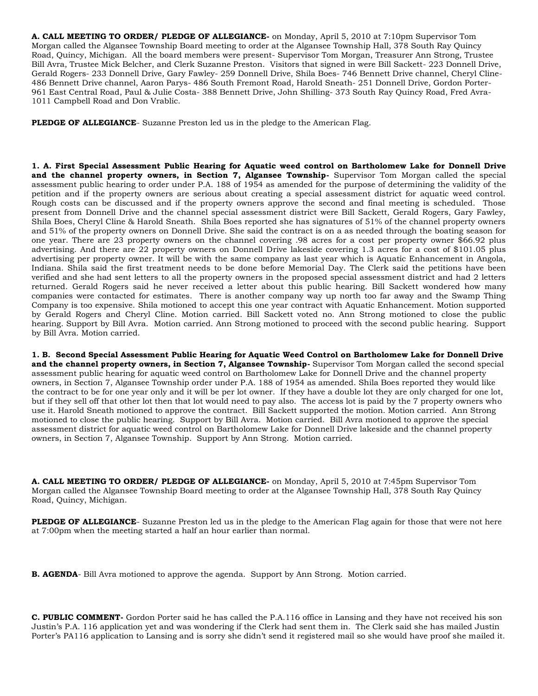**A. CALL MEETING TO ORDER/ PLEDGE OF ALLEGIANCE-** on Monday, April 5, 2010 at 7:10pm Supervisor Tom Morgan called the Algansee Township Board meeting to order at the Algansee Township Hall, 378 South Ray Quincy Road, Quincy, Michigan. All the board members were present- Supervisor Tom Morgan, Treasurer Ann Strong, Trustee Bill Avra, Trustee Mick Belcher, and Clerk Suzanne Preston. Visitors that signed in were Bill Sackett- 223 Donnell Drive, Gerald Rogers- 233 Donnell Drive, Gary Fawley- 259 Donnell Drive, Shila Boes- 746 Bennett Drive channel, Cheryl Cline-486 Bennett Drive channel, Aaron Parys- 486 South Fremont Road, Harold Sneath- 251 Donnell Drive, Gordon Porter-961 East Central Road, Paul & Julie Costa- 388 Bennett Drive, John Shilling- 373 South Ray Quincy Road, Fred Avra-1011 Campbell Road and Don Vrablic.

**PLEDGE OF ALLEGIANCE**- Suzanne Preston led us in the pledge to the American Flag.

**1. A. First Special Assessment Public Hearing for Aquatic weed control on Bartholomew Lake for Donnell Drive and the channel property owners, in Section 7, Algansee Township-** Supervisor Tom Morgan called the special assessment public hearing to order under P.A. 188 of 1954 as amended for the purpose of determining the validity of the petition and if the property owners are serious about creating a special assessment district for aquatic weed control. Rough costs can be discussed and if the property owners approve the second and final meeting is scheduled. Those present from Donnell Drive and the channel special assessment district were Bill Sackett, Gerald Rogers, Gary Fawley, Shila Boes, Cheryl Cline & Harold Sneath. Shila Boes reported she has signatures of 51% of the channel property owners and 51% of the property owners on Donnell Drive. She said the contract is on a as needed through the boating season for one year. There are 23 property owners on the channel covering .98 acres for a cost per property owner \$66.92 plus advertising. And there are 22 property owners on Donnell Drive lakeside covering 1.3 acres for a cost of \$101.05 plus advertising per property owner. It will be with the same company as last year which is Aquatic Enhancement in Angola, Indiana. Shila said the first treatment needs to be done before Memorial Day. The Clerk said the petitions have been verified and she had sent letters to all the property owners in the proposed special assessment district and had 2 letters returned. Gerald Rogers said he never received a letter about this public hearing. Bill Sackett wondered how many companies were contacted for estimates. There is another company way up north too far away and the Swamp Thing Company is too expensive. Shila motioned to accept this one year contract with Aquatic Enhancement. Motion supported by Gerald Rogers and Cheryl Cline. Motion carried. Bill Sackett voted no. Ann Strong motioned to close the public hearing. Support by Bill Avra. Motion carried. Ann Strong motioned to proceed with the second public hearing. Support by Bill Avra. Motion carried.

**1. B. Second Special Assessment Public Hearing for Aquatic Weed Control on Bartholomew Lake for Donnell Drive and the channel property owners, in Section 7, Algansee Township-** Supervisor Tom Morgan called the second special assessment public hearing for aquatic weed control on Bartholomew Lake for Donnell Drive and the channel property owners, in Section 7, Algansee Township order under P.A. 188 of 1954 as amended. Shila Boes reported they would like the contract to be for one year only and it will be per lot owner. If they have a double lot they are only charged for one lot, but if they sell off that other lot then that lot would need to pay also. The access lot is paid by the 7 property owners who use it. Harold Sneath motioned to approve the contract. Bill Sackett supported the motion. Motion carried. Ann Strong motioned to close the public hearing. Support by Bill Avra. Motion carried. Bill Avra motioned to approve the special assessment district for aquatic weed control on Bartholomew Lake for Donnell Drive lakeside and the channel property owners, in Section 7, Algansee Township. Support by Ann Strong. Motion carried.

**A. CALL MEETING TO ORDER/ PLEDGE OF ALLEGIANCE-** on Monday, April 5, 2010 at 7:45pm Supervisor Tom Morgan called the Algansee Township Board meeting to order at the Algansee Township Hall, 378 South Ray Quincy Road, Quincy, Michigan.

**PLEDGE OF ALLEGIANCE**- Suzanne Preston led us in the pledge to the American Flag again for those that were not here at 7:00pm when the meeting started a half an hour earlier than normal.

**B. AGENDA**- Bill Avra motioned to approve the agenda. Support by Ann Strong. Motion carried.

**C. PUBLIC COMMENT-** Gordon Porter said he has called the P.A.116 office in Lansing and they have not received his son Justin's P.A. 116 application yet and was wondering if the Clerk had sent them in. The Clerk said she has mailed Justin Porter's PA116 application to Lansing and is sorry she didn't send it registered mail so she would have proof she mailed it.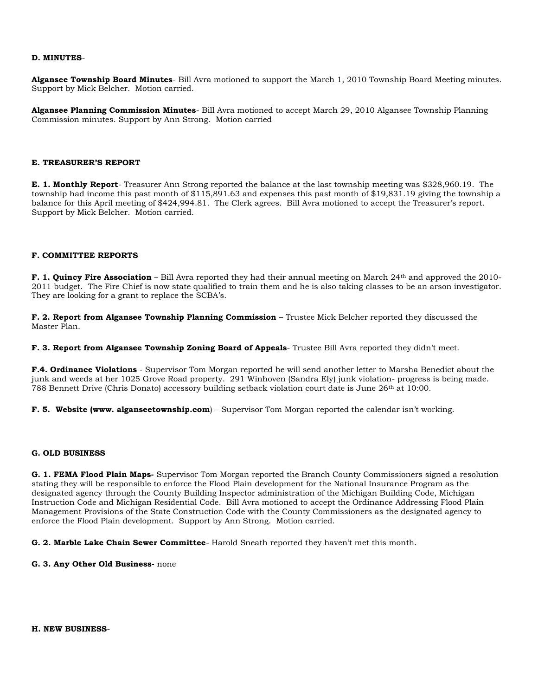# **D. MINUTES**-

**Algansee Township Board Minutes**- Bill Avra motioned to support the March 1, 2010 Township Board Meeting minutes. Support by Mick Belcher. Motion carried.

**Algansee Planning Commission Minutes**- Bill Avra motioned to accept March 29, 2010 Algansee Township Planning Commission minutes. Support by Ann Strong. Motion carried

#### **E. TREASURER'S REPORT**

**E. 1. Monthly Report**- Treasurer Ann Strong reported the balance at the last township meeting was \$328,960.19. The township had income this past month of \$115,891.63 and expenses this past month of \$19,831.19 giving the township a balance for this April meeting of \$424,994.81. The Clerk agrees. Bill Avra motioned to accept the Treasurer's report. Support by Mick Belcher. Motion carried.

# **F. COMMITTEE REPORTS**

**F. 1. Quincy Fire Association** – Bill Avra reported they had their annual meeting on March 24th and approved the 2010- 2011 budget. The Fire Chief is now state qualified to train them and he is also taking classes to be an arson investigator. They are looking for a grant to replace the SCBA's.

**F. 2. Report from Algansee Township Planning Commission** – Trustee Mick Belcher reported they discussed the Master Plan.

**F. 3. Report from Algansee Township Zoning Board of Appeals**- Trustee Bill Avra reported they didn't meet.

**F.4. Ordinance Violations** - Supervisor Tom Morgan reported he will send another letter to Marsha Benedict about the junk and weeds at her 1025 Grove Road property. 291 Winhoven (Sandra Ely) junk violation- progress is being made. 788 Bennett Drive (Chris Donato) accessory building setback violation court date is June 26th at 10:00.

**F. 5. Website (www. alganseetownship.com**) – Supervisor Tom Morgan reported the calendar isn't working.

#### **G. OLD BUSINESS**

**G. 1. FEMA Flood Plain Maps-** Supervisor Tom Morgan reported the Branch County Commissioners signed a resolution stating they will be responsible to enforce the Flood Plain development for the National Insurance Program as the designated agency through the County Building Inspector administration of the Michigan Building Code, Michigan Instruction Code and Michigan Residential Code. Bill Avra motioned to accept the Ordinance Addressing Flood Plain Management Provisions of the State Construction Code with the County Commissioners as the designated agency to enforce the Flood Plain development. Support by Ann Strong. Motion carried.

**G. 2. Marble Lake Chain Sewer Committee**- Harold Sneath reported they haven't met this month.

**G. 3. Any Other Old Business-** none